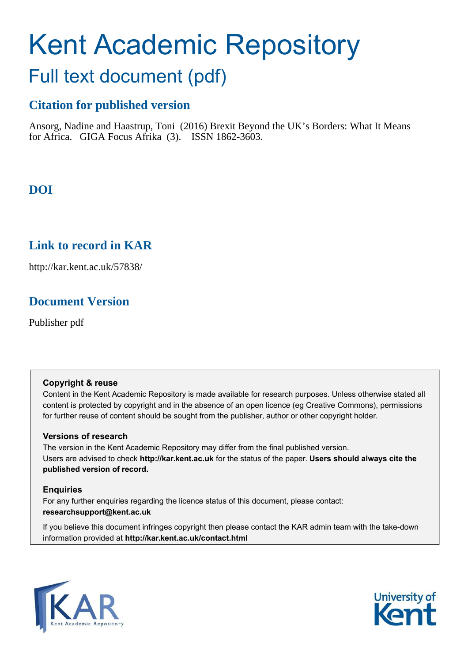# Kent Academic Repository

# Full text document (pdf)

## **Citation for published version**

Ansorg, Nadine and Haastrup, Toni (2016) Brexit Beyond the UK's Borders: What It Means for Africa. GIGA Focus Afrika (3). ISSN 1862-3603.

## **DOI**

## **Link to record in KAR**

http://kar.kent.ac.uk/57838/

## **Document Version**

Publisher pdf

#### **Copyright & reuse**

Content in the Kent Academic Repository is made available for research purposes. Unless otherwise stated all content is protected by copyright and in the absence of an open licence (eg Creative Commons), permissions for further reuse of content should be sought from the publisher, author or other copyright holder.

#### **Versions of research**

The version in the Kent Academic Repository may differ from the final published version. Users are advised to check **http://kar.kent.ac.uk** for the status of the paper. **Users should always cite the published version of record.**

#### **Enquiries**

For any further enquiries regarding the licence status of this document, please contact: **researchsupport@kent.ac.uk**

If you believe this document infringes copyright then please contact the KAR admin team with the take-down information provided at **http://kar.kent.ac.uk/contact.html**



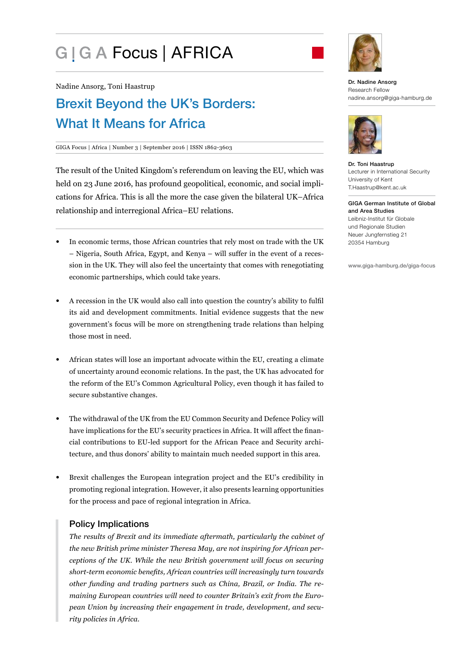# G | G A Focus | AFRICA



Nadine Ansorg, Toni Haastrup

## Brexit Beyond the UK's Borders: What It Means for Africa

#### GIGA Focus | Africa | Number 3 | September 2016 | ISSN 1862-3603

The result of the United Kingdom's referendum on leaving the EU, which was held on 23 June 2016, has profound geopolitical, economic, and social implications for Africa. This is all the more the case given the bilateral UK-Africa relationship and interregional Africa-EU relations.

- In economic terms, those African countries that rely most on trade with the UK – Nigeria, South Africa, Egypt, and Kenya – will suffer in the event of a recession in the UK. They will also feel the uncertainty that comes with renegotiating economic partnerships, which could take years.
- A recession in the UK would also call into question the country's ability to fulil its aid and development commitments. Initial evidence suggests that the new governmentís focus will be more on strengthening trade relations than helping those most in need.
- African states will lose an important advocate within the EU, creating a climate of uncertainty around economic relations. In the past, the UK has advocated for the reform of the EU's Common Agricultural Policy, even though it has failed to secure substantive changes.
- The withdrawal of the UK from the EU Common Security and Defence Policy will have implications for the EU's security practices in Africa. It will affect the financial contributions to EU-led support for the African Peace and Security architecture, and thus donors' ability to maintain much needed support in this area.
- Brexit challenges the European integration project and the EU's credibility in promoting regional integration. However, it also presents learning opportunities for the process and pace of regional integration in Africa.

#### Policy Implications

*The results of Brexit and its immediate aftermath, particularly the cabinet of the new British prime minister Theresa May, are not inspiring for African perceptions of the UK. While the new British government will focus on securing short-term economic beneits, African countries will increasingly turn towards other funding and trading partners such as China, Brazil, or India. The remaining European countries will need to counter Britainís exit from the European Union by increasing their engagement in trade, development, and security policies in Africa.*

Dr. Nadine Ansorg Research Fellow nadine.ansorg@giga-hamburg.de



Dr. Toni Haastrup Lecturer in International Security University of Kent T.Haastrup@kent.ac.uk

GIGA German Institute of Global and Area Studies Leibniz-Institut für Globale und Regionale Studien Neuer Jungfernstieg 21 20354 Hamburg

www.giga-hamburg.de/giga-focus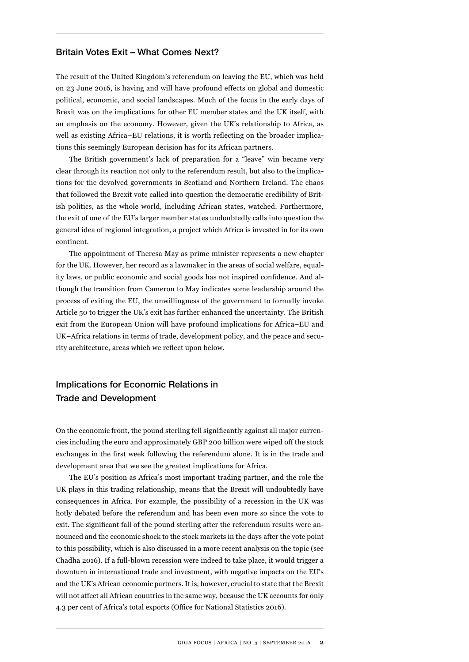#### Britain Votes Exit - What Comes Next?

The result of the United Kingdom's referendum on leaving the EU, which was held on 23 June 2016, is having and will have profound effects on global and domestic political, economic, and social landscapes. Much of the focus in the early days of Brexit was on the implications for other EU member states and the UK itself, with an emphasis on the economy. However, given the UK's relationship to Africa, as well as existing Africa–EU relations, it is worth relecting on the broader implications this seemingly European decision has for its African partners.

The British government's lack of preparation for a "leave" win became very clear through its reaction not only to the referendum result, but also to the implications for the devolved governments in Scotland and Northern Ireland. The chaos that followed the Brexit vote called into question the democratic credibility of British politics, as the whole world, including African states, watched. Furthermore, the exit of one of the EUís larger member states undoubtedly calls into question the general idea of regional integration, a project which Africa is invested in for its own continent.

The appointment of Theresa May as prime minister represents a new chapter for the UK. However, her record as a lawmaker in the areas of social welfare, equality laws, or public economic and social goods has not inspired conidence. And although the transition from Cameron to May indicates some leadership around the process of exiting the EU, the unwillingness of the government to formally invoke Article 50 to trigger the UKís exit has further enhanced the uncertainty. The British exit from the European Union will have profound implications for Africa–EU and UK-Africa relations in terms of trade, development policy, and the peace and security architecture, areas which we relect upon below.

#### Implications for Economic Relations in Trade and Development

On the economic front, the pound sterling fell signiicantly against all major currencies including the euro and approximately GBP 200 billion were wiped off the stock exchanges in the first week following the referendum alone. It is in the trade and development area that we see the greatest implications for Africa.

The EUís position as Africaís most important trading partner, and the role the UK plays in this trading relationship, means that the Brexit will undoubtedly have consequences in Africa. For example, the possibility of a recession in the UK was hotly debated before the referendum and has been even more so since the vote to exit. The significant fall of the pound sterling after the referendum results were announced and the economic shock to the stock markets in the days after the vote point to this possibility, which is also discussed in a more recent analysis on the topic (see Chadha 2016). If a full-blown recession were indeed to take place, it would trigger a downturn in international trade and investment, with negative impacts on the EU's and the UK's African economic partners. It is, however, crucial to state that the Brexit will not affect all African countries in the same way, because the UK accounts for only 4.3 per cent of Africa's total exports (Ofice for National Statistics 2016).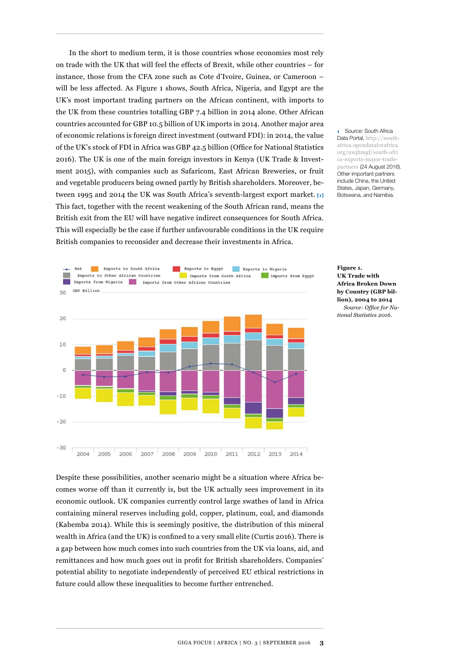In the short to medium term, it is those countries whose economies most rely on trade with the UK that will feel the effects of Brexit, while other countries  $-$  for instance, those from the CFA zone such as Cote d'Ivoire, Guinea, or Cameroon  $$ will be less affected. As Figure 1 shows, South Africa, Nigeria, and Egypt are the UK's most important trading partners on the African continent, with imports to the UK from these countries totalling GBP 7.4 billion in 2014 alone. Other African countries accounted for GBP 10.5 billion of UK imports in 2014. Another major area of economic relations is foreign direct investment (outward FDI): in 2014, the value of the UK's stock of FDI in Africa was GBP 42.5 billion (Ofice for National Statistics 2016). The UK is one of the main foreign investors in Kenya (UK Trade & Investment 2015), with companies such as Safaricom, East African Breweries, or fruit and vegetable producers being owned partly by British shareholders. Moreover, between 1995 and 2014 the UK was South Africaís seventh-largest export market. **[1]** This fact, together with the recent weakening of the South African rand, means the British exit from the EU will have negative indirect consequences for South Africa. This will especially be the case if further unfavourable conditions in the UK require British companies to reconsider and decrease their investments in Africa.



**1** Source: South Africa Data Portal, [http://south](http://southafrica.opendataforafrica.org/uxqhmgf/south-africa-exports-major-trade-partners)[africa.opendataforafrica.](http://southafrica.opendataforafrica.org/uxqhmgf/south-africa-exports-major-trade-partners) [org/uxqhmgf/south-afri](http://southafrica.opendataforafrica.org/uxqhmgf/south-africa-exports-major-trade-partners) [ca-exports-major-trade](http://southafrica.opendataforafrica.org/uxqhmgf/south-africa-exports-major-trade-partners)[partners](http://southafrica.opendataforafrica.org/uxqhmgf/south-africa-exports-major-trade-partners) (24 August 2016). Other important partners include China, the United States, Japan, Germany, Botswana, and Namibia.

**Figure 1. UK Trade with Africa Broken Down by Country (GBP billion), 2004 to 2014** *Source: Ofice for National Statistics 2016.* 

Despite these possibilities, another scenario might be a situation where Africa becomes worse off than it currently is, but the UK actually sees improvement in its economic outlook. UK companies currently control large swathes of land in Africa containing mineral reserves including gold, copper, platinum, coal, and diamonds (Kabemba 2014). While this is seemingly positive, the distribution of this mineral wealth in Africa (and the UK) is confined to a very small elite (Curtis 2016). There is a gap between how much comes into such countries from the UK via loans, aid, and remittances and how much goes out in profit for British shareholders. Companies' potential ability to negotiate independently of perceived EU ethical restrictions in future could allow these inequalities to become further entrenched.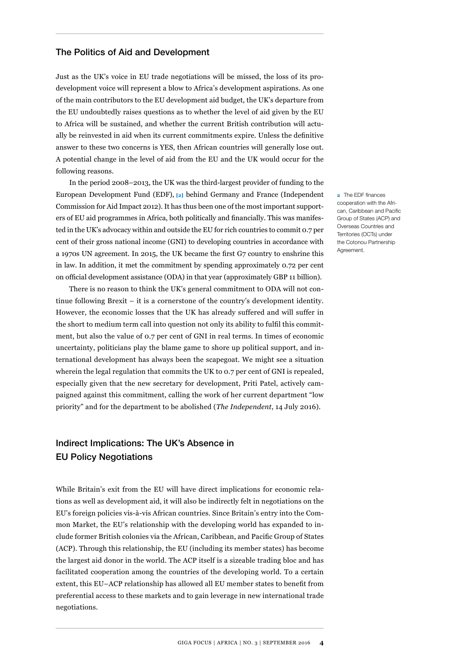#### The Politics of Aid and Development

Just as the UKís voice in EU trade negotiations will be missed, the loss of its prodevelopment voice will represent a blow to Africa's development aspirations. As one of the main contributors to the EU development aid budget, the UK's departure from the EU undoubtedly raises questions as to whether the level of aid given by the EU to Africa will be sustained, and whether the current British contribution will actually be reinvested in aid when its current commitments expire. Unless the deinitive answer to these two concerns is YES, then African countries will generally lose out. A potential change in the level of aid from the EU and the UK would occur for the following reasons.

In the period  $2008-2013$ , the UK was the third-largest provider of funding to the European Development Fund (EDF), **[2]** behind Germany and France (Independent Commission for Aid Impact 2012). It has thus been one of the most important supporters of EU aid programmes in Africa, both politically and inancially. This was manifested in the UKís advocacy within and outside the EU for rich countries to commit 0.7 per cent of their gross national income (GNI) to developing countries in accordance with a 1970s UN agreement. In 2015, the UK became the irst G7 country to enshrine this in law. In addition, it met the commitment by spending approximately 0.72 per cent on oficial development assistance (ODA) in that year (approximately GBP 11 billion).

There is no reason to think the UK's general commitment to ODA will not continue following Brexit  $-$  it is a cornerstone of the country's development identity. However, the economic losses that the UK has already suffered and will suffer in the short to medium term call into question not only its ability to fulil this commitment, but also the value of 0.7 per cent of GNI in real terms. In times of economic uncertainty, politicians play the blame game to shore up political support, and international development has always been the scapegoat. We might see a situation wherein the legal regulation that commits the UK to 0.7 per cent of GNI is repealed, especially given that the new secretary for development, Priti Patel, actively campaigned against this commitment, calling the work of her current department "low priorityî and for the department to be abolished (*The Independent*, 14 July 2016).

#### Indirect Implications: The UK's Absence in EU Policy Negotiations

While Britain's exit from the EU will have direct implications for economic relations as well as development aid, it will also be indirectly felt in negotiations on the EU's foreign policies vis-à-vis African countries. Since Britain's entry into the Common Market, the EU's relationship with the developing world has expanded to include former British colonies via the African, Caribbean, and Paciic Group of States (ACP). Through this relationship, the EU (including its member states) has become the largest aid donor in the world. The ACP itself is a sizeable trading bloc and has facilitated cooperation among the countries of the developing world. To a certain extent, this EU–ACP relationship has allowed all EU member states to beneit from preferential access to these markets and to gain leverage in new international trade negotiations.

**2** The EDF inances cooperation with the African, Caribbean and Pacific Group of States (ACP) and Overseas Countries and Territories (OCTs) under the Cotonou Partnership Agreement.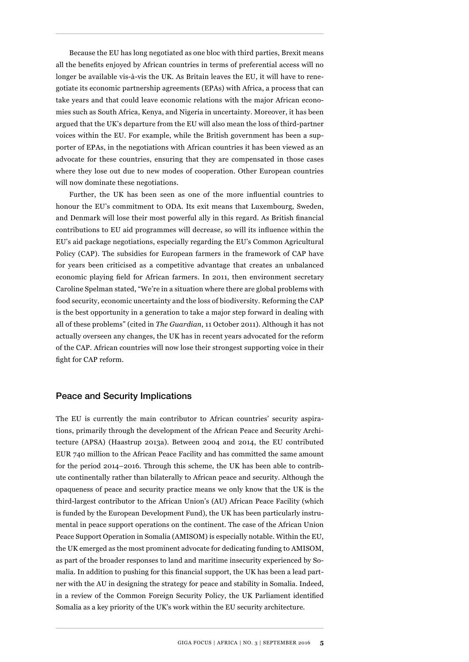Because the EU has long negotiated as one bloc with third parties, Brexit means all the beneits enjoyed by African countries in terms of preferential access will no longer be available vis-à-vis the UK. As Britain leaves the EU, it will have to renegotiate its economic partnership agreements (EPAs) with Africa, a process that can take years and that could leave economic relations with the major African economies such as South Africa, Kenya, and Nigeria in uncertainty. Moreover, it has been argued that the UKís departure from the EU will also mean the loss of third-partner voices within the EU. For example, while the British government has been a supporter of EPAs, in the negotiations with African countries it has been viewed as an advocate for these countries, ensuring that they are compensated in those cases where they lose out due to new modes of cooperation. Other European countries will now dominate these negotiations.

Further, the UK has been seen as one of the more inluential countries to honour the EU's commitment to ODA. Its exit means that Luxembourg, Sweden, and Denmark will lose their most powerful ally in this regard. As British inancial contributions to EU aid programmes will decrease, so will its inluence within the EU's aid package negotiations, especially regarding the EU's Common Agricultural Policy (CAP). The subsidies for European farmers in the framework of CAP have for years been criticised as a competitive advantage that creates an unbalanced economic playing ield for African farmers. In 2011, then environment secretary Caroline Spelman stated, "We're in a situation where there are global problems with food security, economic uncertainty and the loss of biodiversity. Reforming the CAP is the best opportunity in a generation to take a major step forward in dealing with all of these problemsî (cited in *The Guardian*, 11 October 2011). Although it has not actually overseen any changes, the UK has in recent years advocated for the reform of the CAP. African countries will now lose their strongest supporting voice in their fight for CAP reform.

#### Peace and Security Implications

The EU is currently the main contributor to African countriesí security aspirations, primarily through the development of the African Peace and Security Architecture (APSA) (Haastrup 2013a). Between 2004 and 2014, the EU contributed EUR 740 million to the African Peace Facility and has committed the same amount for the period  $2014-2016$ . Through this scheme, the UK has been able to contribute continentally rather than bilaterally to African peace and security. Although the opaqueness of peace and security practice means we only know that the UK is the third-largest contributor to the African Union's (AU) African Peace Facility (which is funded by the European Development Fund), the UK has been particularly instrumental in peace support operations on the continent. The case of the African Union Peace Support Operation in Somalia (AMISOM) is especially notable. Within the EU, the UK emerged as the most prominent advocate for dedicating funding to AMISOM, as part of the broader responses to land and maritime insecurity experienced by Somalia. In addition to pushing for this financial support, the UK has been a lead partner with the AU in designing the strategy for peace and stability in Somalia. Indeed, in a review of the Common Foreign Security Policy, the UK Parliament identified Somalia as a key priority of the UK's work within the EU security architecture.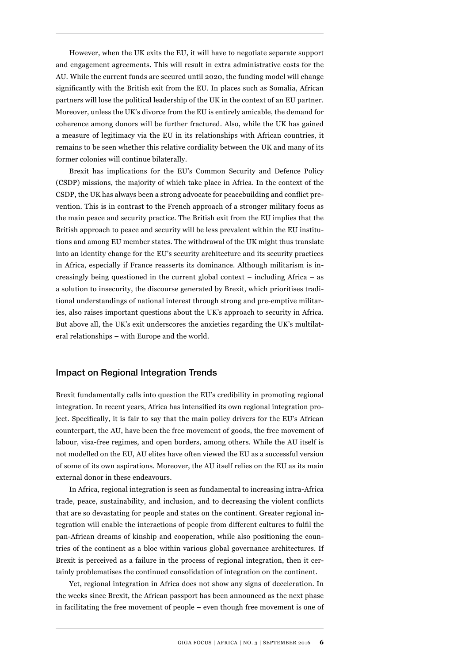However, when the UK exits the EU, it will have to negotiate separate support and engagement agreements. This will result in extra administrative costs for the AU. While the current funds are secured until 2020, the funding model will change significantly with the British exit from the EU. In places such as Somalia, African partners will lose the political leadership of the UK in the context of an EU partner. Moreover, unless the UK's divorce from the EU is entirely amicable, the demand for coherence among donors will be further fractured. Also, while the UK has gained a measure of legitimacy via the EU in its relationships with African countries, it remains to be seen whether this relative cordiality between the UK and many of its former colonies will continue bilaterally.

Brexit has implications for the EU's Common Security and Defence Policy (CSDP) missions, the majority of which take place in Africa. In the context of the CSDP, the UK has always been a strong advocate for peacebuilding and conflict prevention. This is in contrast to the French approach of a stronger military focus as the main peace and security practice. The British exit from the EU implies that the British approach to peace and security will be less prevalent within the EU institutions and among EU member states. The withdrawal of the UK might thus translate into an identity change for the EU's security architecture and its security practices in Africa, especially if France reasserts its dominance. Although militarism is increasingly being questioned in the current global context  $-$  including Africa  $-$  as a solution to insecurity, the discourse generated by Brexit, which prioritises traditional understandings of national interest through strong and pre-emptive militaries, also raises important questions about the UK's approach to security in Africa. But above all, the UK's exit underscores the anxieties regarding the UK's multilateral relationships – with Europe and the world.

#### Impact on Regional Integration Trends

Brexit fundamentally calls into question the EU's credibility in promoting regional integration. In recent years, Africa has intensiied its own regional integration project. Specifically, it is fair to say that the main policy drivers for the EU's African counterpart, the AU, have been the free movement of goods, the free movement of labour, visa-free regimes, and open borders, among others. While the AU itself is not modelled on the EU, AU elites have often viewed the EU as a successful version of some of its own aspirations. Moreover, the AU itself relies on the EU as its main external donor in these endeavours.

In Africa, regional integration is seen as fundamental to increasing intra-Africa trade, peace, sustainability, and inclusion, and to decreasing the violent conlicts that are so devastating for people and states on the continent. Greater regional integration will enable the interactions of people from different cultures to fulil the pan-African dreams of kinship and cooperation, while also positioning the countries of the continent as a bloc within various global governance architectures. If Brexit is perceived as a failure in the process of regional integration, then it certainly problematises the continued consolidation of integration on the continent.

Yet, regional integration in Africa does not show any signs of deceleration. In the weeks since Brexit, the African passport has been announced as the next phase in facilitating the free movement of people  $-$  even though free movement is one of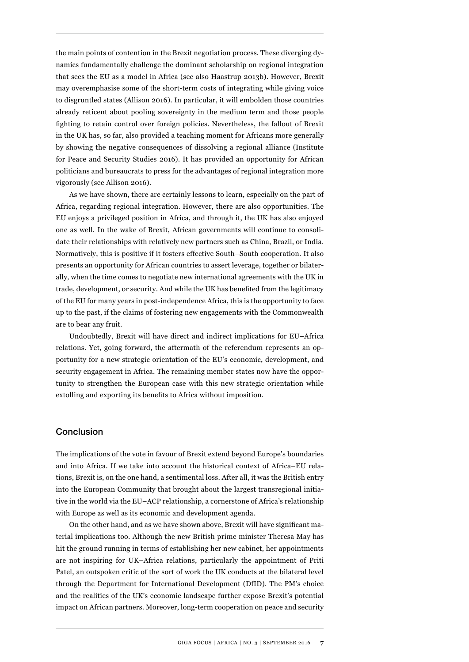the main points of contention in the Brexit negotiation process. These diverging dynamics fundamentally challenge the dominant scholarship on regional integration that sees the EU as a model in Africa (see also Haastrup 2013b). However, Brexit may overemphasise some of the short-term costs of integrating while giving voice to disgruntled states (Allison 2016). In particular, it will embolden those countries already reticent about pooling sovereignty in the medium term and those people ighting to retain control over foreign policies. Nevertheless, the fallout of Brexit in the UK has, so far, also provided a teaching moment for Africans more generally by showing the negative consequences of dissolving a regional alliance (Institute for Peace and Security Studies 2016). It has provided an opportunity for African politicians and bureaucrats to press for the advantages of regional integration more vigorously (see Allison 2016).

As we have shown, there are certainly lessons to learn, especially on the part of Africa, regarding regional integration. However, there are also opportunities. The EU enjoys a privileged position in Africa, and through it, the UK has also enjoyed one as well. In the wake of Brexit, African governments will continue to consolidate their relationships with relatively new partners such as China, Brazil, or India. Normatively, this is positive if it fosters effective South-South cooperation. It also presents an opportunity for African countries to assert leverage, together or bilaterally, when the time comes to negotiate new international agreements with the UK in trade, development, or security. And while the UK has beneited from the legitimacy of the EU for many years in post-independence Africa, this is the opportunity to face up to the past, if the claims of fostering new engagements with the Commonwealth are to bear any fruit.

Undoubtedly, Brexit will have direct and indirect implications for EU-Africa relations. Yet, going forward, the aftermath of the referendum represents an opportunity for a new strategic orientation of the EU's economic, development, and security engagement in Africa. The remaining member states now have the opportunity to strengthen the European case with this new strategic orientation while extolling and exporting its benefits to Africa without imposition.

#### **Conclusion**

The implications of the vote in favour of Brexit extend beyond Europe's boundaries and into Africa. If we take into account the historical context of Africa-EU relations, Brexit is, on the one hand, a sentimental loss. After all, it was the British entry into the European Community that brought about the largest transregional initiative in the world via the EU-ACP relationship, a cornerstone of Africa's relationship with Europe as well as its economic and development agenda.

On the other hand, and as we have shown above, Brexit will have significant material implications too. Although the new British prime minister Theresa May has hit the ground running in terms of establishing her new cabinet, her appointments are not inspiring for UK-Africa relations, particularly the appointment of Priti Patel, an outspoken critic of the sort of work the UK conducts at the bilateral level through the Department for International Development (DfID). The PMís choice and the realities of the UK's economic landscape further expose Brexit's potential impact on African partners. Moreover, long-term cooperation on peace and security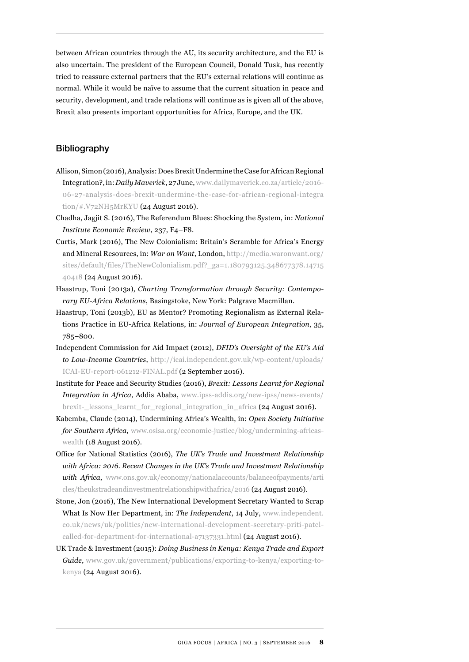between African countries through the AU, its security architecture, and the EU is also uncertain. The president of the European Council, Donald Tusk, has recently tried to reassure external partners that the EU's external relations will continue as normal. While it would be naïve to assume that the current situation in peace and security, development, and trade relations will continue as is given all of the above, Brexit also presents important opportunities for Africa, Europe, and the UK.

#### Bibliography

- Allison, Simon (2016), Analysis: Does Brexit Undermine the Case for African Regional Integration?, in: *Daily Maverick*, 27 June, [www.dailymaverick.co.za/article/2016-](http://www.dailymaverick.co.za/article/2016-06-27-analysis-does-brexit-undermine-the-case-for-african-regional-integration/#.V72NH5MrKYU) [06-27-analysis-does-brexit-undermine-the-case-for-african-regional-integra](http://www.dailymaverick.co.za/article/2016-06-27-analysis-does-brexit-undermine-the-case-for-african-regional-integration/#.V72NH5MrKYU) [tion/#.V72NH5MrKYU](http://www.dailymaverick.co.za/article/2016-06-27-analysis-does-brexit-undermine-the-case-for-african-regional-integration/#.V72NH5MrKYU) (24 August 2016).
- Chadha, Jagjit S. (2016), The Referendum Blues: Shocking the System, in: *National Institute Economic Review, 237, F4-F8.*
- Curtis, Mark (2016), The New Colonialism: Britain's Scramble for Africa's Energy and Mineral Resources, in: *War on Want*, London, [http://media.waronwant.org/](http://media.waronwant.org/sites/default/files/TheNewColonialism.pdf?_ga=1.180793125.348677378.1471540418) sites/default/files/TheNewColonialism.pdf? ga=1.180793125.348677378.14715 [40418](http://media.waronwant.org/sites/default/files/TheNewColonialism.pdf?_ga=1.180793125.348677378.1471540418) (24 August 2016).
- Haastrup, Toni (2013a), *Charting Transformation through Security: Contemporary EU-Africa Relations*, Basingstoke, New York: Palgrave Macmillan.
- Haastrup, Toni (2013b), EU as Mentor? Promoting Regionalism as External Relations Practice in EU-Africa Relations, in: *Journal of European Integration*, 35, 785-800.
- Independent Commission for Aid Impact (2012), *DFIDís Oversight of the EUís Aid to Low-Income Countries*, [http://icai.independent.gov.uk/wp-content/uploads/](http://icai.independent.gov.uk/wp-content/uploads/ICAI-EU-report-061212-FINAL.pdf) [ICAI-EU-report-061212-FINAL.pdf](http://icai.independent.gov.uk/wp-content/uploads/ICAI-EU-report-061212-FINAL.pdf) (2 September 2016).
- Institute for Peace and Security Studies (2016), *Brexit: Lessons Learnt for Regional Integration in Africa*, Addis Ababa, [www.ipss-addis.org/new-ipss/news-events/](http://www.ipss-addis.org/new-ipss/news-events/brexit-_lessons_learnt_for_regional_integration_in_africa) [brexit-\\_lessons\\_learnt\\_for\\_regional\\_integration\\_in\\_africa](http://www.ipss-addis.org/new-ipss/news-events/brexit-_lessons_learnt_for_regional_integration_in_africa) (24 August 2016).
- Kabemba, Claude (2014), Undermining Africaís Wealth, in: *Open Society Initiative for Southern Africa*, [www.osisa.org/economic-justice/blog/undermining-africas](http://www.osisa.org/economic-justice/blog/undermining-africas-wealth)[wealth](http://www.osisa.org/economic-justice/blog/undermining-africas-wealth) (18 August 2016).
- Ofice for National Statistics (2016), *The UKís Trade and Investment Relationship with Africa: 2016. Recent Changes in the UKís Trade and Investment Relationship with Africa*, [www.ons.gov.uk/economy/nationalaccounts/balanceofpayments/arti](https://www.ons.gov.uk/economy/nationalaccounts/balanceofpayments/articles/theukstradeandinvestmentrelationshipwithafrica/2016) [cles/theukstradeandinvestmentrelationshipwithafrica/2016](https://www.ons.gov.uk/economy/nationalaccounts/balanceofpayments/articles/theukstradeandinvestmentrelationshipwithafrica/2016) (24 August 2016).
- Stone, Jon (2016), The New International Development Secretary Wanted to Scrap What Is Now Her Department, in: *The Independent*, 14 July, [www.independent.](http://www.independent.co.uk/news/uk/politics/new-international-development-secretary-priti-patel-called-for-department-for-international-a7137331.html) [co.uk/news/uk/politics/new-international-development-secretary-priti-patel](http://www.independent.co.uk/news/uk/politics/new-international-development-secretary-priti-patel-called-for-department-for-international-a7137331.html)[called-for-department-for-international-a7137331.html](http://www.independent.co.uk/news/uk/politics/new-international-development-secretary-priti-patel-called-for-department-for-international-a7137331.html) (24 August 2016).
- UK Trade & Investment (2015): *Doing Business in Kenya: Kenya Trade and Export Guide*, [www.gov.uk/government/publications/exporting-to-kenya/exporting-to](https://www.gov.uk/government/publications/exporting-to-kenya/exporting-to-kenya)[kenya](https://www.gov.uk/government/publications/exporting-to-kenya/exporting-to-kenya) (24 August 2016).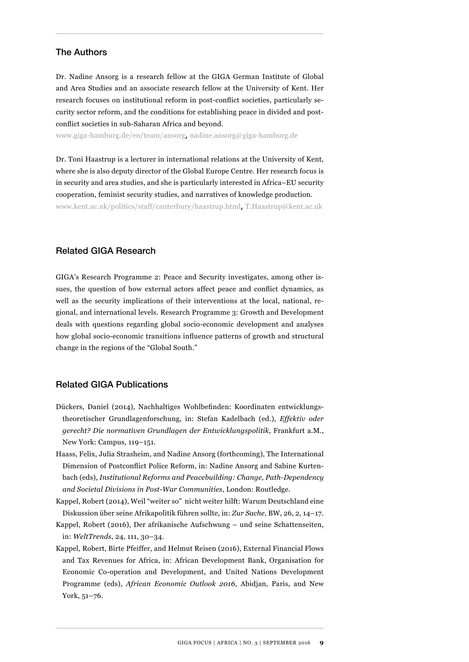#### The Authors

Dr. Nadine Ansorg is a research fellow at the GIGA German Institute of Global and Area Studies and an associate research fellow at the University of Kent. Her research focuses on institutional reform in post-conflict societies, particularly security sector reform, and the conditions for establishing peace in divided and postconflict societies in sub-Saharan Africa and beyond.

www.giga-hamburg.de/en/team/ansorg, nadine.ansorg@giga-hamburg.de

Dr. Toni Haastrup is a lecturer in international relations at the University of Kent, where she is also deputy director of the Global Europe Centre. Her research focus is in security and area studies, and she is particularly interested in Africa–EU security cooperation, feminist security studies, and narratives of knowledge production.

www.kent.ac.uk/politics/staff/canterbury/haastrup.html, T.Haastrup@kent.ac.uk

#### Related GIGA Research

GIGAís Research Programme 2: Peace and Security investigates, among other issues, the question of how external actors affect peace and conlict dynamics, as well as the security implications of their interventions at the local, national, regional, and international levels. Research Programme 3: Growth and Development deals with questions regarding global socio-economic development and analyses how global socio-economic transitions influence patterns of growth and structural change in the regions of the "Global South."

#### Related GIGA Publications

- Dückers, Daniel (2014), Nachhaltiges Wohlbeinden: Koordinaten entwicklungstheoretischer Grundlagenforschung, in: Stefan Kadelbach (ed.), *Effektiv oder gerecht? Die normativen Grundlagen der Entwicklungspolitik*, Frankfurt a.M., New York: Campus, 119-151.
- Haass, Felix, Julia Strasheim, and Nadine Ansorg (forthcoming), The International Dimension of Postconlict Police Reform, in: Nadine Ansorg and Sabine Kurtenbach (eds), *Institutional Reforms and Peacebuilding: Change, Path-Dependency and Societal Divisions in Post-War Communities*, London: Routledge.
- Kappel, Robert (2014), Weil "weiter so" nicht weiter hilft: Warum Deutschland eine Diskussion über seine Afrikapolitik führen sollte, in: *Zur Sache*, BW, 26, 2, 14-17.
- Kappel, Robert (2016), Der afrikanische Aufschwung und seine Schattenseiten, in: *WeltTrends*, 24, 111, 30-34.
- Kappel, Robert, Birte Pfeiffer, and Helmut Reisen (2016), External Financial Flows and Tax Revenues for Africa, in: African Development Bank, Organisation for Economic Co-operation and Development, and United Nations Development Programme (eds), *African Economic Outlook 2016*, Abidjan, Paris, and New York,  $51 - 76$ .